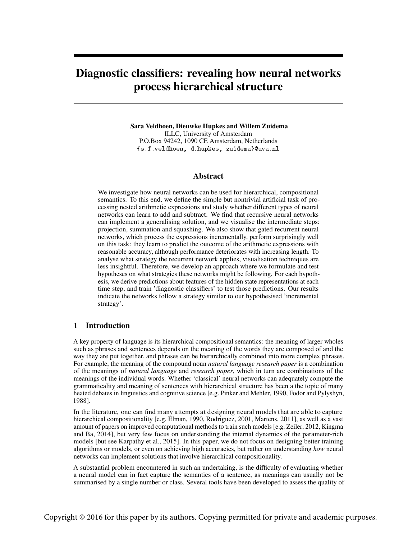# Diagnostic classifiers: revealing how neural networks process hierarchical structure

Sara Veldhoen, Dieuwke Hupkes and Willem Zuidema ILLC, University of Amsterdam P.O.Box 94242, 1090 CE Amsterdam, Netherlands {s.f.veldhoen, d.hupkes, zuidema}@uva.nl

## Abstract

We investigate how neural networks can be used for hierarchical, compositional semantics. To this end, we define the simple but nontrivial artificial task of processing nested arithmetic expressions and study whether different types of neural networks can learn to add and subtract. We find that recursive neural networks can implement a generalising solution, and we visualise the intermediate steps: projection, summation and squashing. We also show that gated recurrent neural networks, which process the expressions incrementally, perform surprisingly well on this task: they learn to predict the outcome of the arithmetic expressions with reasonable accuracy, although performance deteriorates with increasing length. To analyse what strategy the recurrent network applies, visualisation techniques are less insightful. Therefore, we develop an approach where we formulate and test hypotheses on what strategies these networks might be following. For each hypothesis, we derive predictions about features of the hidden state representations at each time step, and train 'diagnostic classifiers' to test those predictions. Our results indicate the networks follow a strategy similar to our hypothesised 'incremental strategy'.

## 1 Introduction

A key property of language is its hierarchical compositional semantics: the meaning of larger wholes such as phrases and sentences depends on the meaning of the words they are composed of and the way they are put together, and phrases can be hierarchically combined into more complex phrases. For example, the meaning of the compound noun *natural language research paper* is a combination of the meanings of *natural language* and *research paper*, which in turn are combinations of the meanings of the individual words. Whether 'classical' neural networks can adequately compute the grammaticality and meaning of sentences with hierarchical structure has been a the topic of many heated debates in linguistics and cognitive science [e.g. Pinker and [Mehler,](#page-8-0) [1990,](#page-8-0) Fodor and [Pylyshyn,](#page-8-1) [1988\]](#page-8-1).

In the literature, one can find many attempts at designing neural models that are able to capture hierarchical compositionality [e.g. [Elman,](#page-8-2) [1990,](#page-8-2) [Rodriguez,](#page-8-3) [2001,](#page-8-3) [Martens,](#page-8-4) [2011\]](#page-8-4), as well as a vast amount of papers on improved computational methods to train such models [e.g. [Zeiler,](#page-8-5) [2012,](#page-8-5) [Kingma](#page-8-6) [and](#page-8-6) Ba, [2014\]](#page-8-6), but very few focus on understanding the internal dynamics of the parameter-rich models [but see [Karpathy](#page-8-7) et al., [2015\]](#page-8-7). In this paper, we do not focus on designing better training algorithms or models, or even on achieving high accuracies, but rather on understanding *how* neural networks can implement solutions that involve hierarchical compositionality.

A substantial problem encountered in such an undertaking, is the difficulty of evaluating whether a neural model can in fact capture the semantics of a sentence, as meanings can usually not be summarised by a single number or class. Several tools have been developed to assess the quality of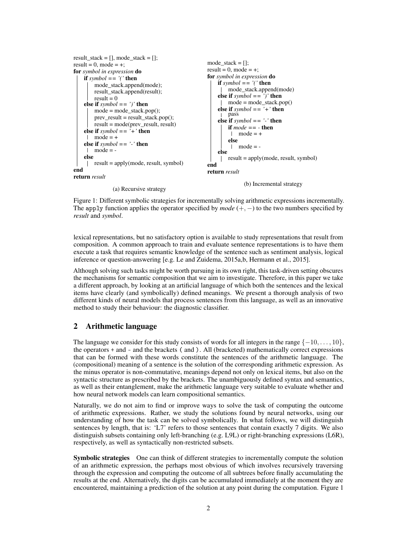```
result stack = [], mode stack = [];
result = 0, mode = +;
for symbol in expression do
    if symbol = \prime \prime then
        mode_stack.append(mode);
        result_stack.append(result);
        result = 0else if symbol == ')' then
        mode = mode\_stack.pop();prev\_result = result\_stack.pop();result = mode(prev_result, result)
    else if symbol = -i + i then
     \n  <b>mode</b> = +\nelse if symbol == '-' then
     1 mode = -
    else
        result = apply(mode, result, symbol)
end
return result
                (a) Recursive strategy
                                                        mode_stack = [];
                                                        result = 0, mode = +;
                                                        for symbol in expression do
                                                             if symbol = \prime \prime then
                                                                mode_stack.append(mode)
                                                             else if symbol == ')' then
                                                             \parallel mode = mode stack.pop()
                                                             else if symbol = '+' then
                                                             pass
                                                            else if symbol == '-' then
                                                                 if mode == - then
                                                                  \ln \text{mode} = +else
                                                                  \n  <b>mode</b> = -else
                                                                result = apply(mode, result, symbol)
                                                        end
                                                        return result
                                                                       (b) Incremental strategy
```
Figure 1: Different symbolic strategies for incrementally solving arithmetic expressions incrementally. The apply function applies the operator specified by *mode* (+, −) to the two numbers specified by *result* and *symbol*.

lexical representations, but no satisfactory option is available to study representations that result from composition. A common approach to train and evaluate sentence representations is to have them execute a task that requires semantic knowledge of the sentence such as sentiment analysis, logical inference or question-answering [e.g. [Le and Zuidema, 2015a,](#page-8-8)[b,](#page-8-9) [Hermann et al., 2015\]](#page-8-10).

Although solving such tasks might be worth pursuing in its own right, this task-driven setting obscures the mechanisms for semantic composition that we aim to investigate. Therefore, in this paper we take a different approach, by looking at an artificial language of which both the sentences and the lexical items have clearly (and symbolically) defined meanings. We present a thorough analysis of two different kinds of neural models that process sentences from this language, as well as an innovative method to study their behaviour: the diagnostic classifier.

# 2 Arithmetic language

The language we consider for this study consists of words for all integers in the range  $\{-10, \ldots, 10\}$ , the operators  $+$  and  $-$  and the brackets (and ). All (bracketed) mathematically correct expressions that can be formed with these words constitute the sentences of the arithmetic language. The (compositional) meaning of a sentence is the solution of the corresponding arithmetic expression. As the minus operator is non-commutative, meanings depend not only on lexical items, but also on the syntactic structure as prescribed by the brackets. The unambiguously defined syntax and semantics, as well as their entanglement, make the arithmetic language very suitable to evaluate whether and how neural network models can learn compositional semantics.

Naturally, we do not aim to find or improve ways to solve the task of computing the outcome of arithmetic expressions. Rather, we study the solutions found by neural networks, using our understanding of how the task can be solved symbolically. In what follows, we will distinguish sentences by length, that is: 'L7' refers to those sentences that contain exactly 7 digits. We also distinguish subsets containing only left-branching (e.g. L9L) or right-branching expressions (L6R), respectively, as well as syntactically non-restricted subsets.

Symbolic strategies One can think of different strategies to incrementally compute the solution of an arithmetic expression, the perhaps most obvious of which involves recursively traversing through the expression and computing the outcome of all subtrees before finally accumulating the results at the end. Alternatively, the digits can be accumulated immediately at the moment they are encountered, maintaining a prediction of the solution at any point during the computation. Figure [1](#page-1-0)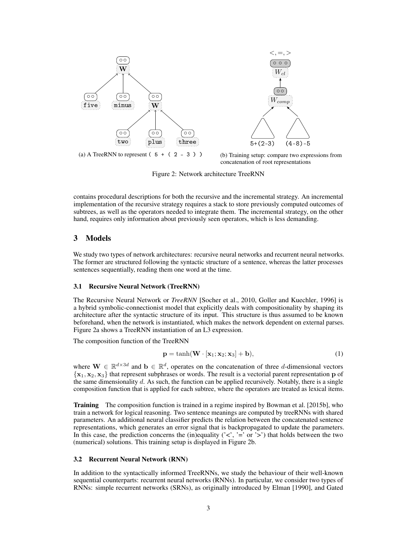<span id="page-2-0"></span>

(b) Training setup: compare two expressions from concatenation of root representations

Figure 2: Network architecture TreeRNN

contains procedural descriptions for both the recursive and the incremental strategy. An incremental implementation of the recursive strategy requires a stack to store previously computed outcomes of subtrees, as well as the operators needed to integrate them. The incremental strategy, on the other hand, requires only information about previously seen operators, which is less demanding.

### 3 Models

We study two types of network architectures: recursive neural networks and recurrent neural networks. The former are structured following the syntactic structure of a sentence, whereas the latter processes sentences sequentially, reading them one word at the time.

#### 3.1 Recursive Neural Network (TreeRNN)

The Recursive Neural Network or *TreeRNN* [\[Socher et al., 2010,](#page-8-11) [Goller and Kuechler, 1996\]](#page-8-12) is a hybrid symbolic-connectionist model that explicitly deals with compositionality by shaping its architecture after the syntactic structure of its input. This structure is thus assumed to be known beforehand, when the network is instantiated, which makes the network dependent on external parses. Figure [2a](#page-2-0) shows a TreeRNN instantiation of an L3 expression.

The composition function of the TreeRNN

<span id="page-2-1"></span>
$$
\mathbf{p} = \tanh(\mathbf{W} \cdot [\mathbf{x}_1; \mathbf{x}_2; \mathbf{x}_3] + \mathbf{b}),\tag{1}
$$

where  $\mathbf{W} \in \mathbb{R}^{d \times 3d}$  and  $\mathbf{b} \in \mathbb{R}^d$ , operates on the concatenation of three d-dimensional vectors  ${x_1, x_2, x_3}$  that represent subphrases or words. The result is a vectorial parent representation p of the same dimensionality d. As such, the function can be applied recursively. Notably, there is a single composition function that is applied for each subtree, where the operators are treated as lexical items.

**Training** The composition function is trained in a regime inspired by [Bowman et al.](#page-8-13) [\[2015b\]](#page-8-13), who train a network for logical reasoning. Two sentence meanings are computed by treeRNNs with shared parameters. An additional neural classifier predicts the relation between the concatenated sentence representations, which generates an error signal that is backpropagated to update the parameters. In this case, the prediction concerns the (in)equality ( $\langle \langle \cdot, \cdot \rangle = \rangle$  or  $\langle \cdot \rangle$ ) that holds between the two (numerical) solutions. This training setup is displayed in Figure [2b.](#page-2-0)

#### 3.2 Recurrent Neural Network (RNN)

In addition to the syntactically informed TreeRNNs, we study the behaviour of their well-known sequential counterparts: recurrent neural networks (RNNs). In particular, we consider two types of RNNs: simple recurrent networks (SRNs), as originally introduced by [Elman](#page-8-2) [\[1990\]](#page-8-2), and Gated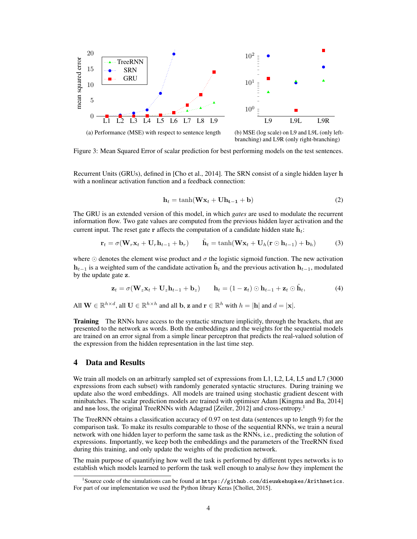<span id="page-3-1"></span>

(b) MSE (log scale) on L9 and L9L (only leftbranching) and L9R (only right-branching)

Figure 3: Mean Squared Error of scalar prediction for best performing models on the test sentences.

Recurrent Units (GRUs), defined in [\[Cho et al., 2014\]](#page-8-14). The SRN consist of a single hidden layer h with a nonlinear activation function and a feedback connection:

$$
\mathbf{h}_t = \tanh(\mathbf{W}\mathbf{x}_t + \mathbf{U}\mathbf{h}_{t-1} + \mathbf{b})
$$
 (2)

The GRU is an extended version of this model, in which *gates* are used to modulate the recurrent information flow. Two gate values are computed from the previous hidden layer activation and the current input. The reset gate r affects the computation of a candidate hidden state  $\tilde{h}_t$ :

$$
\mathbf{r}_t = \sigma(\mathbf{W}_r \mathbf{x}_t + \mathbf{U}_r \mathbf{h}_{t-1} + \mathbf{b}_r) \qquad \tilde{\mathbf{h}}_t = \tanh(\mathbf{W} \mathbf{x}_t + \mathbf{U}_h (\mathbf{r} \odot \mathbf{h}_{t-1}) + \mathbf{b}_h)
$$
(3)

where  $\odot$  denotes the element wise product and  $\sigma$  the logistic sigmoid function. The new activation  $h_{t-1}$  is a weighted sum of the candidate activation  $\tilde{h}_t$  and the previous activation  $h_{t-1}$ , modulated by the update gate z.

$$
\mathbf{z}_t = \sigma(\mathbf{W}_z \mathbf{x}_t + \mathbf{U}_z \mathbf{h}_{t-1} + \mathbf{b}_z) \qquad \mathbf{h}_t = (1 - \mathbf{z}_t) \odot \mathbf{h}_{t-1} + \mathbf{z}_t \odot \tilde{\mathbf{h}}_t,\tag{4}
$$

All  $\mathbf{W} \in \mathbb{R}^{h \times d}$ , all  $\mathbf{U} \in \mathbb{R}^{h \times h}$  and all b, z and  $\mathbf{r} \in \mathbb{R}^{h}$  with  $h = |\mathbf{h}|$  and  $d = |\mathbf{x}|$ .

**Training** The RNNs have access to the syntactic structure implicitly, through the brackets, that are presented to the network as words. Both the embeddings and the weights for the sequential models are trained on an error signal from a simple linear perceptron that predicts the real-valued solution of the expression from the hidden representation in the last time step.

## 4 Data and Results

We train all models on an arbitrarly sampled set of expressions from L1, L2, L4, L5 and L7 (3000) expressions from each subset) with randomly generated syntactic structures. During training we update also the word embeddings. All models are trained using stochastic gradient descent with minibatches. The scalar prediction models are trained with optimiser Adam [\[Kingma and Ba, 2014\]](#page-8-6) and mse loss, the original TreeRNNs with Adagrad [\[Zeiler, 2012\]](#page-8-5) and cross-entropy.[1](#page-3-0)

The TreeRNN obtains a classification accuracy of 0.97 on test data (sentences up to length 9) for the comparison task. To make its results comparable to those of the sequential RNNs, we train a neural network with one hidden layer to perform the same task as the RNNs, i.e., predicting the solution of expressions. Importantly, we keep both the embeddings and the parameters of the TreeRNN fixed during this training, and only update the weights of the prediction network.

The main purpose of quantifying how well the task is performed by different types networks is to establish which models learned to perform the task well enough to analyse *how* they implement the

<span id="page-3-0"></span> $^1$ Source code of the simulations can be found at <https://github.com/dieuwkehupkes/Arithmetics>. For part of our implementation we used the Python library Keras [\[Chollet, 2015\]](#page-8-15).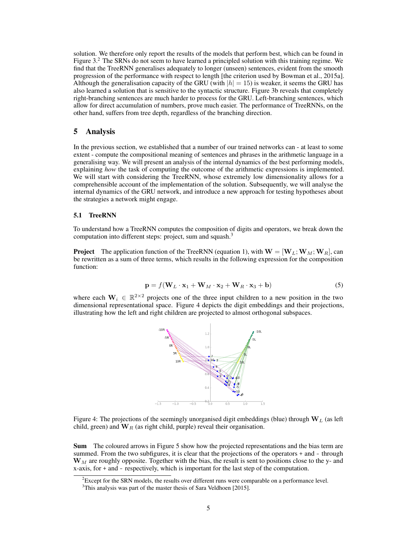solution. We therefore only report the results of the models that perform best, which can be found in Figure  $3<sup>2</sup>$  $3<sup>2</sup>$  $3<sup>2</sup>$ . The SRNs do not seem to have learned a principled solution with this training regime. We find that the TreeRNN generalises adequately to longer (unseen) sentences, evident from the smooth progression of the performance with respect to length [the criterion used by [Bowman et al., 2015a\]](#page-8-16). Although the generalisation capacity of the GRU (with  $|h| = 15$ ) is weaker, it seems the GRU has also learned a solution that is sensitive to the syntactic structure. Figure [3b](#page-3-1) reveals that completely right-branching sentences are much harder to process for the GRU. Left-branching sentences, which allow for direct accumulation of numbers, prove much easier. The performance of TreeRNNs, on the other hand, suffers from tree depth, regardless of the branching direction.

### 5 Analysis

In the previous section, we established that a number of our trained networks can - at least to some extent - compute the compositional meaning of sentences and phrases in the arithmetic language in a generalising way. We will present an analysis of the internal dynamics of the best performing models, explaining *how* the task of computing the outcome of the arithmetic expressions is implemented. We will start with considering the TreeRNN, whose extremely low dimensionality allows for a comprehensible account of the implementation of the solution. Subsequently, we will analyse the internal dynamics of the GRU network, and introduce a new approach for testing hypotheses about the strategies a network might engage.

#### 5.1 TreeRNN

To understand how a TreeRNN computes the composition of digits and operators, we break down the computation into different steps: project, sum and squash.<sup>[3](#page-4-1)</sup>

<span id="page-4-3"></span>**Project** The application function of the TreeRNN (equation [1\)](#page-2-1), with  $\mathbf{W} = [\mathbf{W}_L; \mathbf{W}_M; \mathbf{W}_R]$ , can be rewritten as a sum of three terms, which results in the following expression for the composition function:

$$
\mathbf{p} = f(\mathbf{W}_L \cdot \mathbf{x}_1 + \mathbf{W}_M \cdot \mathbf{x}_2 + \mathbf{W}_R \cdot \mathbf{x}_3 + \mathbf{b})
$$
(5)

<span id="page-4-2"></span>where each  $W_i \in \mathbb{R}^{2 \times 2}$  projects one of the three input children to a new position in the two dimensional representational space. Figure [4](#page-4-2) depicts the digit embeddings and their projections, illustrating how the left and right children are projected to almost orthogonal subspaces.



Figure 4: The projections of the seemingly unorganised digit embeddings (blue) through  $W_L$  (as left child, green) and  $W_R$  (as right child, purple) reveal their organisation.

Sum The coloured arrows in Figure [5](#page-5-0) show how the projected representations and the bias term are summed. From the two subfigures, it is clear that the projections of the operators + and - through  $W<sub>M</sub>$  are roughly opposite. Together with the bias, the result is sent to positions close to the y- and x-axis, for + and - respectively, which is important for the last step of the computation.

<span id="page-4-0"></span> ${}^{2}$ Except for the SRN models, the results over different runs were comparable on a performance level.

<span id="page-4-1"></span><sup>&</sup>lt;sup>3</sup>This analysis was part of the master thesis of Sara [Veldhoen](#page-8-17) [\[2015\]](#page-8-17).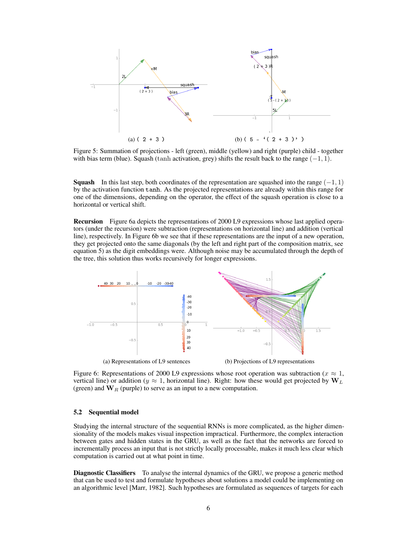<span id="page-5-0"></span>

Figure 5: Summation of projections - left (green), middle (yellow) and right (purple) child - together with bias term (blue). Squash (tanh activation, grey) shifts the result back to the range  $(-1, 1)$ .

**Squash** In this last step, both coordinates of the representation are squashed into the range  $(-1, 1)$ by the activation function tanh. As the projected representations are already within this range for one of the dimensions, depending on the operator, the effect of the squash operation is close to a horizontal or vertical shift.

Recursion Figure [6a](#page-5-1) depicts the representations of 2000 L9 expressions whose last applied operators (under the recursion) were subtraction (representations on horizontal line) and addition (vertical line), respectively. In Figure [6b](#page-5-1) we see that if these representations are the input of a new operation, they get projected onto the same diagonals (by the left and right part of the composition matrix, see equation [5\)](#page-4-3) as the digit embeddings were. Although noise may be accumulated through the depth of the tree, this solution thus works recursively for longer expressions.

<span id="page-5-1"></span>

Figure 6: Representations of 2000 L9 expressions whose root operation was subtraction ( $x \approx 1$ , vertical line) or addition ( $y \approx 1$ , horizontal line). Right: how these would get projected by  $W_L$ (green) and  $W_R$  (purple) to serve as an input to a new computation.

#### 5.2 Sequential model

Studying the internal structure of the sequential RNNs is more complicated, as the higher dimensionality of the models makes visual inspection impractical. Furthermore, the complex interaction between gates and hidden states in the GRU, as well as the fact that the networks are forced to incrementally process an input that is not strictly locally processable, makes it much less clear which computation is carried out at what point in time.

Diagnostic Classifiers To analyse the internal dynamics of the GRU, we propose a generic method that can be used to test and formulate hypotheses about solutions a model could be implementing on an algorithmic level [\[Marr, 1982\]](#page-8-18). Such hypotheses are formulated as sequences of targets for each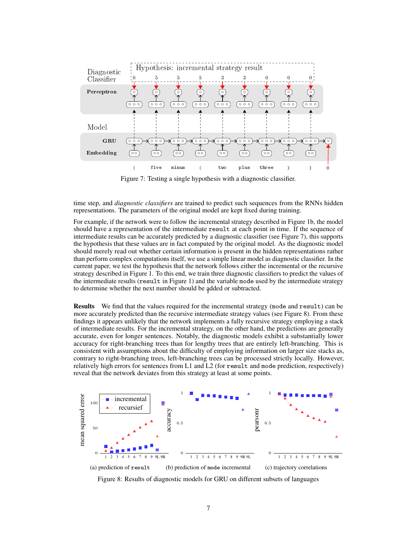<span id="page-6-0"></span>

Figure 7: Testing a single hypothesis with a diagnostic classifier.

time step, and *diagnostic classifiers* are trained to predict such sequences from the RNNs hidden representations. The parameters of the original model are kept fixed during training.

to determine whether the next number should be added or subtracted. For example, if the network were to follow the incremental strategy described in Figure [1b,](#page-1-0) the model should have a representation of the intermediate result at each point in time. If the sequence of intermediate results can be accurately predicted by a diagnostic classifier (see Figure [7\)](#page-6-0), this supports the hypothesis that these values are in fact computed by the original model. As the diagnostic model should merely read out whether certain information is present in the hidden representations rather than perform complex computations itself, we use a simple linear model as diagnostic classifier. In the current paper, we test the hypothesis that the network follows either the incremental or the recursive strategy described in Figure [1.](#page-1-0) To this end, we train three diagnostic classifiers to predict the values of the intermediate results (result in Figure [1\)](#page-1-0) and the variable mode used by the intermediate strategy

Results We find that the values required for the incremental strategy (mode and result) can be more accurately predicted than the recursive intermediate strategy values (see Figure [8\)](#page-6-1). From these findings it appears unlikely that the network implements a fully recursive strategy employing a stack of intermediate results. For the incremental strategy, on the other hand, the predictions are generally accurate, even for longer sentences. Notably, the diagnostic models exhibit a substantially lower accuracy for right-branching trees than for lengthy trees that are entirely left-branching. This is consistent with assumptions about the difficulty of employing information on larger size stacks as, contrary to right-branching trees, left-branching trees can be processed strictly locally. However, relatively high errors for sentences from L1 and L2 (for result and mode prediction, respectively) reveal that the network deviates from this strategy at least at some points.

<span id="page-6-1"></span>

Figure 8: Results of diagnostic models for GRU on different subsets of languages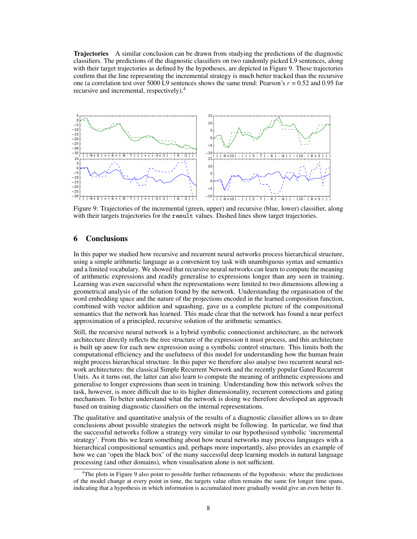**Trajectories** A similar conclusion can be drawn from studying the predictions of the diagnostic classifiers. The predictions of the diagnostic classifiers on two randomly picked L9 sentences, along with their target trajectories as defined by the hypotheses, are depicted in Figure [9.](#page-7-0) These trajectories confirm that the line representing the incremental strategy is much better tracked than the recursive one (a correlation test over 5000 L9 sentences shows the same trend: Pearson's  $r = 0.52$  and 0.95 for recursive and incremental, respectively).[4](#page-7-1)

<span id="page-7-0"></span>

Figure 9: Trajectories of the incremental (green, upper) and recursive (blue, lower) classifier, along with their targets trajectories for the result values. Dashed lines show target trajectories.

### 6 Conclusions

In this paper we studied how recursive and recurrent neural networks process hierarchical structure, using a simple arithmetic language as a convenient toy task with unambiguous syntax and semantics and a limited vocabulary. We showed that recursive neural networks can learn to compute the meaning of arithmetic expressions and readily generalise to expressions longer than any seen in training. Learning was even successful when the representations were limited to two dimensions allowing a geometrical analysis of the solution found by the network. Understanding the organisation of the word embedding space and the nature of the projections encoded in the learned composition function, combined with vector addition and squashing, gave us a complete picture of the compositional semantics that the network has learned. This made clear that the network has found a near perfect approximation of a principled, recursive solution of the arithmetic semantics.

Still, the recursive neural network is a hybrid symbolic connectionist architecture, as the network architecture directly reflects the tree structure of the expression it must process, and this architecture is built up anew for each new expression using a symbolic control structure. This limits both the computational efficiency and the usefulness of this model for understanding how the human brain might process hierarchical structure. In this paper we therefore also analyse two recurrent neural network architectures: the classical Simple Recurrent Network and the recently popular Gated Recurrent Units. As it turns out, the latter can also learn to compute the meaning of arithmetic expressions and generalise to longer expressions than seen in training. Understanding how this network solves the task, however, is more difficult due to its higher dimensionality, recurrent connections and gating mechanism. To better understand what the network is doing we therefore developed an approach based on training diagnostic classifiers on the internal representations.

The qualitative and quantitative analysis of the results of a diagnostic classifier allows us to draw conclusions about possible strategies the network might be following. In particular, we find that the successful networks follow a strategy very similar to our hypothesised symbolic 'incremental strategy'. From this we learn something about how neural networks may process languages with a hierarchical compositional semantics and, perhaps more importantly, also provides an example of how we can 'open the black box' of the many successful deep learning models in natural language processing (and other domains), when visualisation alone is not sufficient.

<span id="page-7-1"></span><sup>&</sup>lt;sup>4</sup>The plots in Figure [9](#page-7-0) also point to possible further refinements of the hypothesis: where the predictions of the model change at every point in time, the targets value often remains the same for longer time spans, indicating that a hypothesis in which information is accumulated more gradually would give an even better fit.